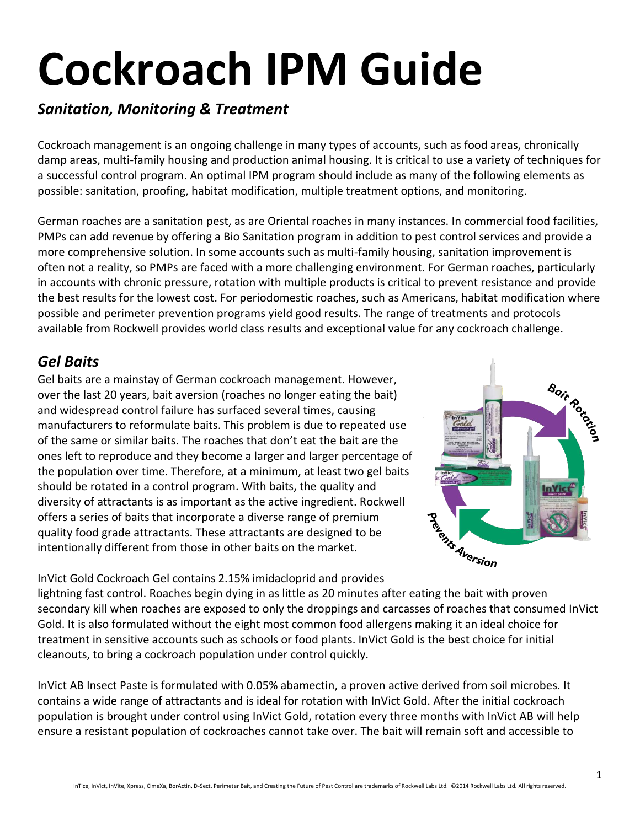# **Cockroach IPM Guide**

## *Sanitation, Monitoring & Treatment*

Cockroach management is an ongoing challenge in many types of accounts, such as food areas, chronically damp areas, multi-family housing and production animal housing. It is critical to use a variety of techniques for a successful control program. An optimal IPM program should include as many of the following elements as possible: sanitation, proofing, habitat modification, multiple treatment options, and monitoring.

German roaches are a sanitation pest, as are Oriental roaches in many instances. In commercial food facilities, PMPs can add revenue by offering a Bio Sanitation program in addition to pest control services and provide a more comprehensive solution. In some accounts such as multi-family housing, sanitation improvement is often not a reality, so PMPs are faced with a more challenging environment. For German roaches, particularly in accounts with chronic pressure, rotation with multiple products is critical to prevent resistance and provide the best results for the lowest cost. For periodomestic roaches, such as Americans, habitat modification where possible and perimeter prevention programs yield good results. The range of treatments and protocols available from Rockwell provides world class results and exceptional value for any cockroach challenge.

## *Gel Baits*

Gel baits are a mainstay of German cockroach management. However, over the last 20 years, bait aversion (roaches no longer eating the bait) and widespread control failure has surfaced several times, causing manufacturers to reformulate baits. This problem is due to repeated use of the same or similar baits. The roaches that don't eat the bait are the ones left to reproduce and they become a larger and larger percentage of the population over time. Therefore, at a minimum, at least two gel baits should be rotated in a control program. With baits, the quality and diversity of attractants is as important as the active ingredient. Rockwell offers a series of baits that incorporate a diverse range of premium quality food grade attractants. These attractants are designed to be intentionally different from those in other baits on the market.



InVict Gold Cockroach Gel contains 2.15% imidacloprid and provides lightning fast control. Roaches begin dying in as little as 20 minutes after eating the bait with proven secondary kill when roaches are exposed to only the droppings and carcasses of roaches that consumed InVict Gold. It is also formulated without the eight most common food allergens making it an ideal choice for treatment in sensitive accounts such as schools or food plants. InVict Gold is the best choice for initial cleanouts, to bring a cockroach population under control quickly.

InVict AB Insect Paste is formulated with 0.05% abamectin, a proven active derived from soil microbes. It contains a wide range of attractants and is ideal for rotation with InVict Gold. After the initial cockroach population is brought under control using InVict Gold, rotation every three months with InVict AB will help ensure a resistant population of cockroaches cannot take over. The bait will remain soft and accessible to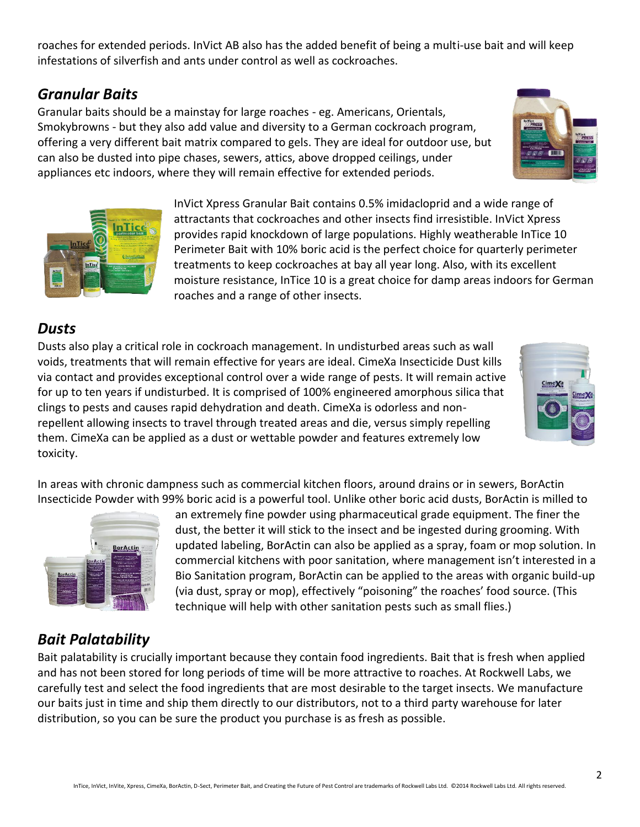roaches for extended periods. InVict AB also has the added benefit of being a multi-use bait and will keep infestations of silverfish and ants under control as well as cockroaches.

#### *Granular Baits*

Granular baits should be a mainstay for large roaches - eg. Americans, Orientals, Smokybrowns - but they also add value and diversity to a German cockroach program, offering a very different bait matrix compared to gels. They are ideal for outdoor use, but can also be dusted into pipe chases, sewers, attics, above dropped ceilings, under appliances etc indoors, where they will remain effective for extended periods.

> InVict Xpress Granular Bait contains 0.5% imidacloprid and a wide range of attractants that cockroaches and other insects find irresistible. InVict Xpress provides rapid knockdown of large populations. Highly weatherable InTice 10 Perimeter Bait with 10% boric acid is the perfect choice for quarterly perimeter treatments to keep cockroaches at bay all year long. Also, with its excellent moisture resistance, InTice 10 is a great choice for damp areas indoors for German roaches and a range of other insects.

> an extremely fine powder using pharmaceutical grade equipment. The finer the dust, the better it will stick to the insect and be ingested during grooming. With updated labeling, BorActin can also be applied as a spray, foam or mop solution. In commercial kitchens with poor sanitation, where management isn't interested in a Bio Sanitation program, BorActin can be applied to the areas with organic build-up (via dust, spray or mop), effectively "poisoning" the roaches' food source. (This

#### *Dusts*

Dusts also play a critical role in cockroach management. In undisturbed areas such as wall voids, treatments that will remain effective for years are ideal. CimeXa Insecticide Dust kills via contact and provides exceptional control over a wide range of pests. It will remain active for up to ten years if undisturbed. It is comprised of 100% engineered amorphous silica that clings to pests and causes rapid dehydration and death. CimeXa is odorless and nonrepellent allowing insects to travel through treated areas and die, versus simply repelling them. CimeXa can be applied as a dust or wettable powder and features extremely low toxicity.

In areas with chronic dampness such as commercial kitchen floors, around drains or in sewers, BorActin Insecticide Powder with 99% boric acid is a powerful tool. Unlike other boric acid dusts, BorActin is milled to

# *Bait Palatability*

Bait palatability is crucially important because they contain food ingredients. Bait that is fresh when applied and has not been stored for long periods of time will be more attractive to roaches. At Rockwell Labs, we carefully test and select the food ingredients that are most desirable to the target insects. We manufacture our baits just in time and ship them directly to our distributors, not to a third party warehouse for later distribution, so you can be sure the product you purchase is as fresh as possible.

technique will help with other sanitation pests such as small flies.)